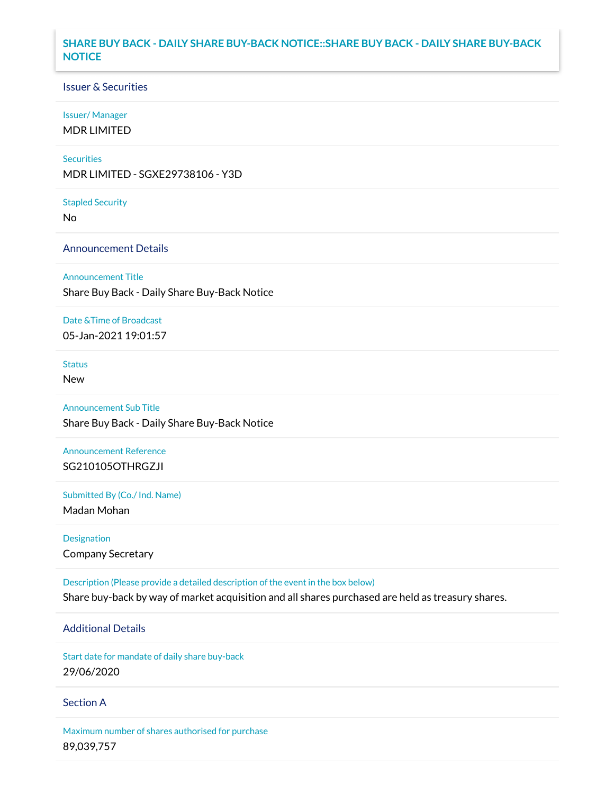### **SHARE BUY BACK - DAILY SHARE BUY-BACK NOTICE::SHARE BUY BACK - DAILY SHARE BUY-BACK NOTICE**

### Issuer & Securities

#### Issuer/ Manager

MDR LIMITED

#### **Securities**

MDR LIMITED - SGXE29738106 - Y3D

#### Stapled Security

No

### Announcement Details

Announcement Title

Share Buy Back - Daily Share Buy-Back Notice

# Date &Time of Broadcast

05-Jan-2021 19:01:57

## Status

New

## Announcement Sub Title Share Buy Back - Daily Share Buy-Back Notice

Announcement Reference SG210105OTHRGZJI

Submitted By (Co./ Ind. Name)

Madan Mohan

Designation Company Secretary

Description (Please provide a detailed description of the event in the box below) Share buy-back by way of market acquisition and all shares purchased are held as treasury shares.

### Additional Details

Start date for mandate of daily share buy-back 29/06/2020

### Section A

Maximum number of shares authorised for purchase 89,039,757